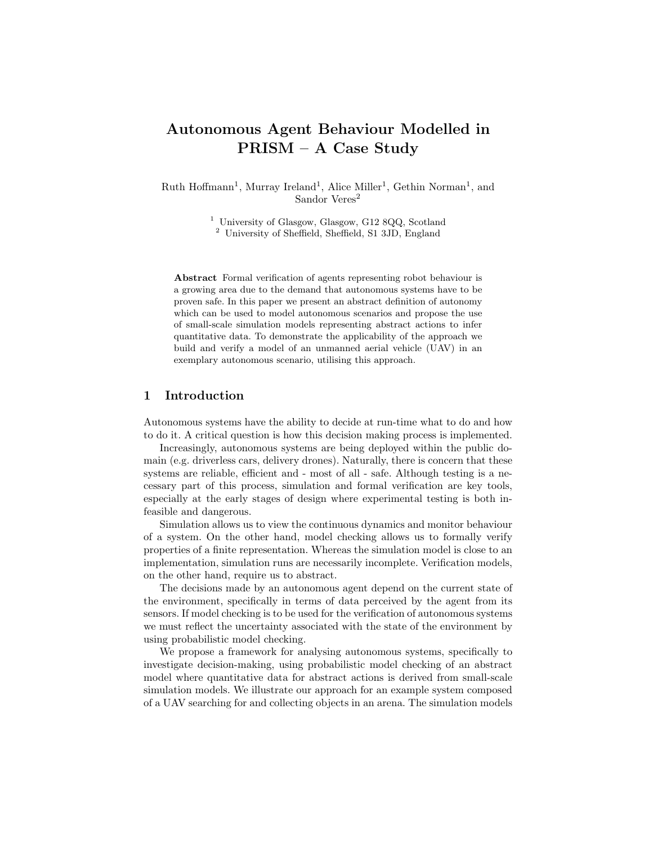# Autonomous Agent Behaviour Modelled in PRISM – A Case Study

Ruth Hoffmann<sup>1</sup>, Murray Ireland<sup>1</sup>, Alice Miller<sup>1</sup>, Gethin Norman<sup>1</sup>, and Sandor Veres<sup>2</sup>

> <sup>1</sup> University of Glasgow, Glasgow, G12 8QQ, Scotland <sup>2</sup> University of Sheffield, Sheffield, S1 3JD, England

Abstract Formal verification of agents representing robot behaviour is a growing area due to the demand that autonomous systems have to be proven safe. In this paper we present an abstract definition of autonomy which can be used to model autonomous scenarios and propose the use of small-scale simulation models representing abstract actions to infer quantitative data. To demonstrate the applicability of the approach we build and verify a model of an unmanned aerial vehicle (UAV) in an exemplary autonomous scenario, utilising this approach.

## 1 Introduction

Autonomous systems have the ability to decide at run-time what to do and how to do it. A critical question is how this decision making process is implemented.

Increasingly, autonomous systems are being deployed within the public domain (e.g. driverless cars, delivery drones). Naturally, there is concern that these systems are reliable, efficient and - most of all - safe. Although testing is a necessary part of this process, simulation and formal verification are key tools, especially at the early stages of design where experimental testing is both infeasible and dangerous.

Simulation allows us to view the continuous dynamics and monitor behaviour of a system. On the other hand, model checking allows us to formally verify properties of a finite representation. Whereas the simulation model is close to an implementation, simulation runs are necessarily incomplete. Verification models, on the other hand, require us to abstract.

The decisions made by an autonomous agent depend on the current state of the environment, specifically in terms of data perceived by the agent from its sensors. If model checking is to be used for the verification of autonomous systems we must reflect the uncertainty associated with the state of the environment by using probabilistic model checking.

We propose a framework for analysing autonomous systems, specifically to investigate decision-making, using probabilistic model checking of an abstract model where quantitative data for abstract actions is derived from small-scale simulation models. We illustrate our approach for an example system composed of a UAV searching for and collecting objects in an arena. The simulation models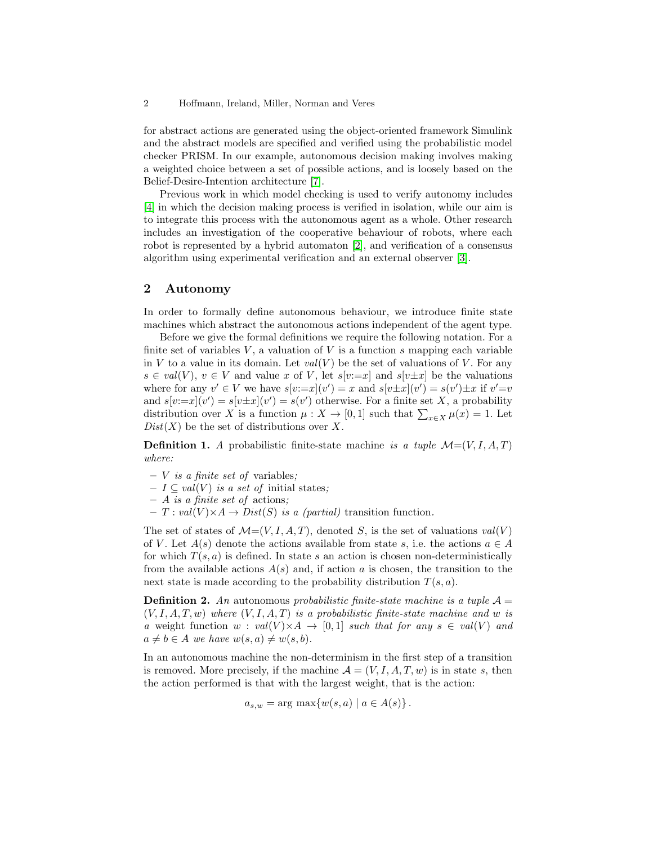#### 2 Hoffmann, Ireland, Miller, Norman and Veres

for abstract actions are generated using the object-oriented framework Simulink and the abstract models are specified and verified using the probabilistic model checker PRISM. In our example, autonomous decision making involves making a weighted choice between a set of possible actions, and is loosely based on the Belief-Desire-Intention architecture [\[7\]](#page-5-0).

Previous work in which model checking is used to verify autonomy includes [\[4\]](#page-5-1) in which the decision making process is verified in isolation, while our aim is to integrate this process with the autonomous agent as a whole. Other research includes an investigation of the cooperative behaviour of robots, where each robot is represented by a hybrid automaton [\[2\]](#page-5-2), and verification of a consensus algorithm using experimental verification and an external observer [\[3\]](#page-5-3).

### 2 Autonomy

In order to formally define autonomous behaviour, we introduce finite state machines which abstract the autonomous actions independent of the agent type.

Before we give the formal definitions we require the following notation. For a finite set of variables  $V$ , a valuation of  $V$  is a function  $s$  mapping each variable in V to a value in its domain. Let  $val(V)$  be the set of valuations of V. For any  $s \in val(V)$ ,  $v \in V$  and value x of V, let  $s[v:=x]$  and  $s[v \pm x]$  be the valuations where for any  $v' \in V$  we have  $s[v:=x](v') = x$  and  $s[v \pm x](v') = s(v') \pm x$  if  $v' = v$ and  $s[v:=x](v') = s(v \pm x](v') = s(v')$  otherwise. For a finite set X, a probability distribution over X is a function  $\mu : X \to [0,1]$  such that  $\sum_{x \in X} \mu(x) = 1$ . Let  $Dist(X)$  be the set of distributions over X.

**Definition 1.** A probabilistic finite-state machine is a tuple  $\mathcal{M} = (V, I, A, T)$ where:

- $V$  is a finite set of variables;
- $-I \subseteq val(V)$  is a set of initial states;
- A is a finite set of actions;
- $T : val(V) \times A \rightarrow Dist(S)$  is a (partial) transition function.

The set of states of  $\mathcal{M}=(V, I, A, T)$ , denoted S, is the set of valuations  $val(V)$ of V. Let  $A(s)$  denote the actions available from state s, i.e. the actions  $a \in A$ for which  $T(s, a)$  is defined. In state s an action is chosen non-deterministically from the available actions  $A(s)$  and, if action a is chosen, the transition to the next state is made according to the probability distribution  $T(s, a)$ .

**Definition 2.** An autonomous probabilistic finite-state machine is a tuple  $\mathcal{A} =$  $(V, I, A, T, w)$  where  $(V, I, A, T)$  is a probabilistic finite-state machine and w is a weight function  $w : val(V) \times A \rightarrow [0,1]$  such that for any  $s \in val(V)$  and  $a \neq b \in A$  we have  $w(s, a) \neq w(s, b)$ .

In an autonomous machine the non-determinism in the first step of a transition is removed. More precisely, if the machine  $\mathcal{A} = (V, I, A, T, w)$  is in state s, then the action performed is that with the largest weight, that is the action:

$$
a_{s,w} = \arg \max \{ w(s,a) \mid a \in A(s) \}.
$$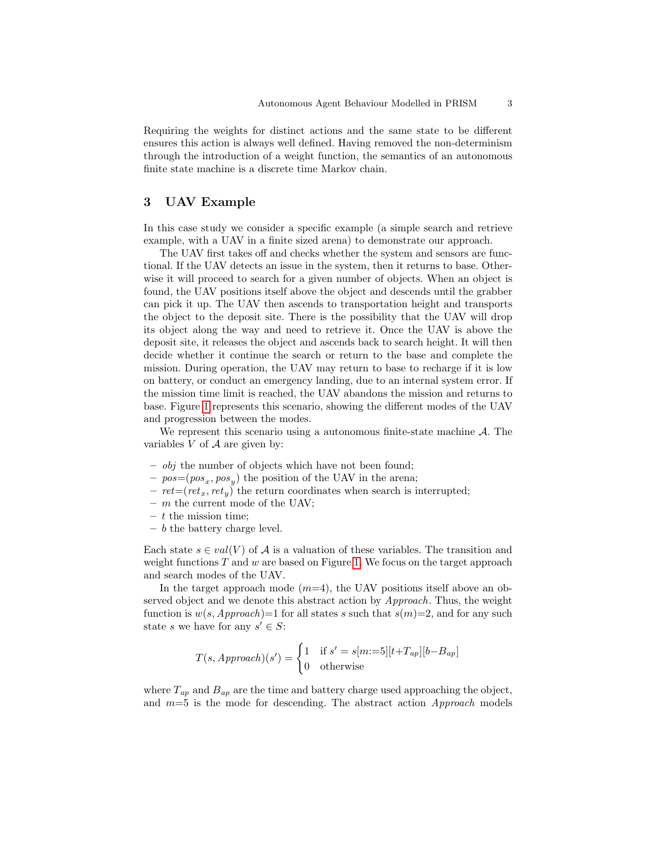Requiring the weights for distinct actions and the same state to be different ensures this action is always well defined. Having removed the non-determinism through the introduction of a weight function, the semantics of an autonomous finite state machine is a discrete time Markov chain.

# 3 UAV Example

In this case study we consider a specific example (a simple search and retrieve example, with a UAV in a finite sized arena) to demonstrate our approach.

The UAV first takes off and checks whether the system and sensors are functional. If the UAV detects an issue in the system, then it returns to base. Otherwise it will proceed to search for a given number of objects. When an object is found, the UAV positions itself above the object and descends until the grabber can pick it up. The UAV then ascends to transportation height and transports the object to the deposit site. There is the possibility that the UAV will drop its object along the way and need to retrieve it. Once the UAV is above the deposit site, it releases the object and ascends back to search height. It will then decide whether it continue the search or return to the base and complete the mission. During operation, the UAV may return to base to recharge if it is low on battery, or conduct an emergency landing, due to an internal system error. If the mission time limit is reached, the UAV abandons the mission and returns to base. Figure [1](#page-3-0) represents this scenario, showing the different modes of the UAV and progression between the modes.

We represent this scenario using a autonomous finite-state machine  $A$ . The variables  $V$  of  $A$  are given by:

- $-$  *obj* the number of objects which have not been found;
- $-pos=(pos_x, pos_y)$  the position of the UAV in the arena;
- $ret=(ret_x, ret_y)$  the return coordinates when search is interrupted;
- $m$  the current mode of the UAV;
- $t$  the mission time;
- $b$  the battery charge level.

Each state  $s \in val(V)$  of A is a valuation of these variables. The transition and weight functions  $T$  and  $w$  are based on Figure [1.](#page-3-0) We focus on the target approach and search modes of the UAV.

In the target approach mode  $(m=4)$ , the UAV positions itself above an observed object and we denote this abstract action by *Approach*. Thus, the weight function is  $w(s, Approach)=1$  for all states s such that  $s(m)=2$ , and for any such state s we have for any  $s' \in S$ :

$$
T(s, Approach)(s') = \begin{cases} 1 & \text{if } s' = s[m:=5][t+T_{ap}][b-B_{ap}] \\ 0 & \text{otherwise} \end{cases}
$$

where  $T_{ap}$  and  $B_{ap}$  are the time and battery charge used approaching the object, and  $m=5$  is the mode for descending. The abstract action  $Approad$  models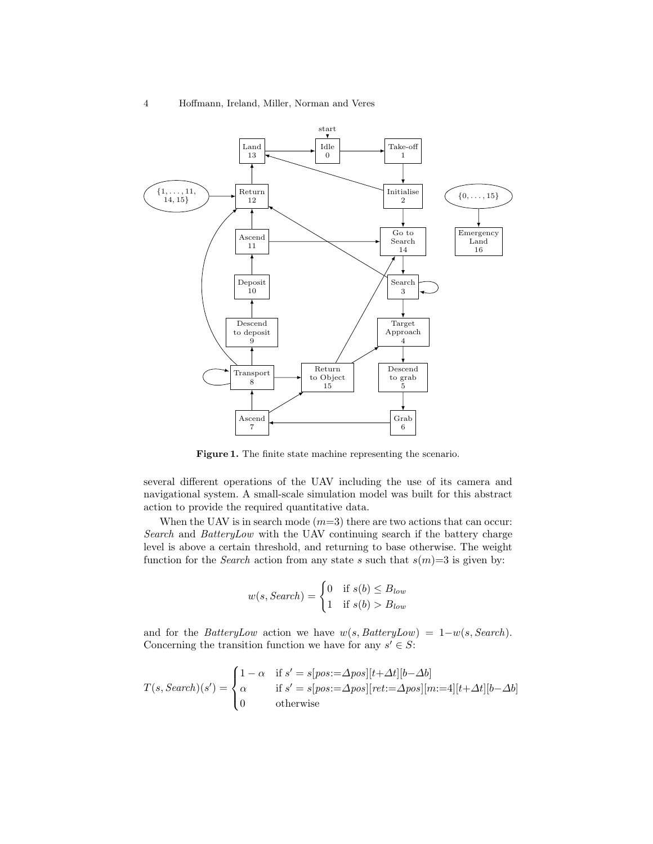

<span id="page-3-0"></span>Figure 1. The finite state machine representing the scenario.

several different operations of the UAV including the use of its camera and navigational system. A small-scale simulation model was built for this abstract action to provide the required quantitative data.

When the UAV is in search mode  $(m=3)$  there are two actions that can occur: Search and BatteryLow with the UAV continuing search if the battery charge level is above a certain threshold, and returning to base otherwise. The weight function for the *Search* action from any state s such that  $s(m)=3$  is given by:

$$
w(s, Search) = \begin{cases} 0 & \text{if } s(b) \leq B_{low} \\ 1 & \text{if } s(b) > B_{low} \end{cases}
$$

and for the BatteryLow action we have  $w(s, BatteryLow) = 1-w(s, Search)$ . Concerning the transition function we have for any  $s' \in S$ :

$$
T(s, Search)(s') = \begin{cases} 1 - \alpha & \text{if } s' = s[pos:=\Delta pos][t + \Delta t][b - \Delta b] \\ \alpha & \text{if } s' = s[pos:=\Delta pos][ret:=\Delta pos][m:=4][t + \Delta t][b - \Delta b] \\ 0 & \text{otherwise} \end{cases}
$$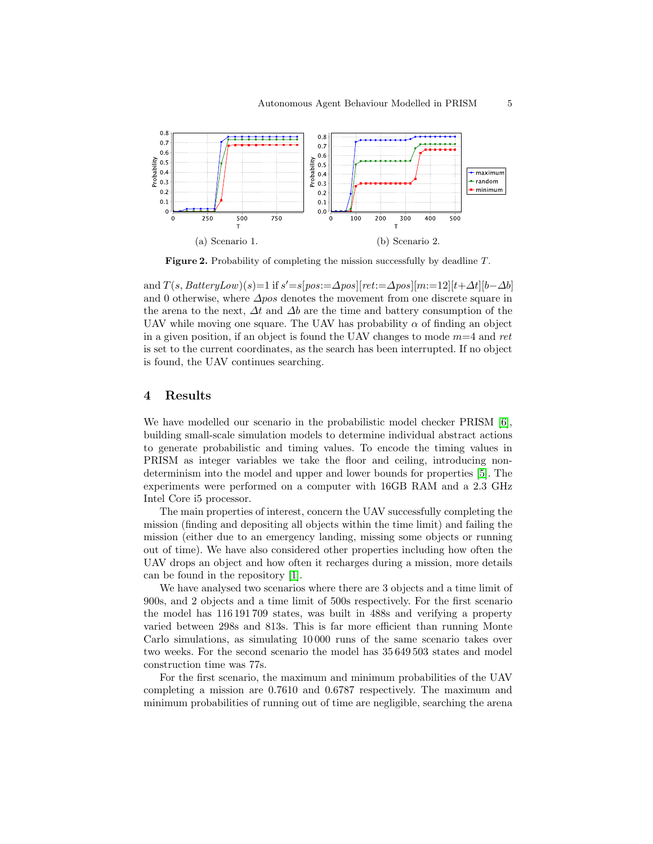

<span id="page-4-0"></span>Figure 2. Probability of completing the mission successfully by deadline T.

and  $T(s, BatteryLow)(s)=1$  if  $s'=s[pos:=\Delta pos][ret:=\Delta pos][m:=12][t+\Delta t][b-\Delta b]$ and 0 otherwise, where ∆pos denotes the movement from one discrete square in the arena to the next,  $\Delta t$  and  $\Delta b$  are the time and battery consumption of the UAV while moving one square. The UAV has probability  $\alpha$  of finding an object in a given position, if an object is found the UAV changes to mode  $m=4$  and ret is set to the current coordinates, as the search has been interrupted. If no object is found, the UAV continues searching.

#### 4 Results

We have modelled our scenario in the probabilistic model checker PRISM [\[6\]](#page-5-4), building small-scale simulation models to determine individual abstract actions to generate probabilistic and timing values. To encode the timing values in PRISM as integer variables we take the floor and ceiling, introducing nondeterminism into the model and upper and lower bounds for properties [\[5\]](#page-5-5). The experiments were performed on a computer with 16GB RAM and a 2.3 GHz Intel Core i5 processor.

The main properties of interest, concern the UAV successfully completing the mission (finding and depositing all objects within the time limit) and failing the mission (either due to an emergency landing, missing some objects or running out of time). We have also considered other properties including how often the UAV drops an object and how often it recharges during a mission, more details can be found in the repository [\[1\]](#page-5-6).

We have analysed two scenarios where there are 3 objects and a time limit of 900s, and 2 objects and a time limit of 500s respectively. For the first scenario the model has 116 191 709 states, was built in 488s and verifying a property varied between 298s and 813s. This is far more efficient than running Monte Carlo simulations, as simulating 10 000 runs of the same scenario takes over two weeks. For the second scenario the model has 35 649 503 states and model construction time was 77s.

For the first scenario, the maximum and minimum probabilities of the UAV completing a mission are 0.7610 and 0.6787 respectively. The maximum and minimum probabilities of running out of time are negligible, searching the arena